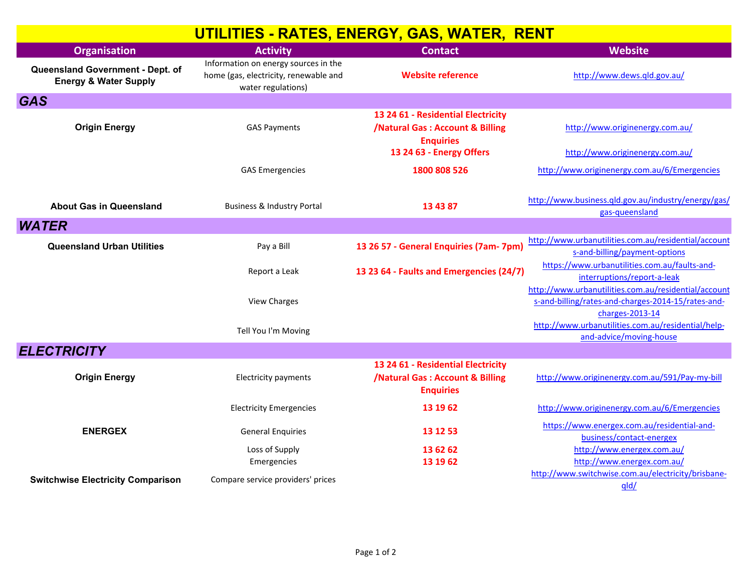| UTILITIES - RATES, ENERGY, GAS, WATER, RENT                          |                                                                                                     |                                                                                                      |                                                                                                                               |  |
|----------------------------------------------------------------------|-----------------------------------------------------------------------------------------------------|------------------------------------------------------------------------------------------------------|-------------------------------------------------------------------------------------------------------------------------------|--|
| <b>Organisation</b>                                                  | <b>Activity</b>                                                                                     | <b>Contact</b>                                                                                       | <b>Website</b>                                                                                                                |  |
| Queensland Government - Dept. of<br><b>Energy &amp; Water Supply</b> | Information on energy sources in the<br>home (gas, electricity, renewable and<br>water regulations) | <b>Website reference</b>                                                                             | http://www.dews.qld.gov.au/                                                                                                   |  |
| <b>GAS</b>                                                           |                                                                                                     |                                                                                                      |                                                                                                                               |  |
| <b>Origin Energy</b>                                                 | <b>GAS Payments</b>                                                                                 | 13 24 61 - Residential Electricity<br><b>/Natural Gas: Account &amp; Billing</b><br><b>Enquiries</b> | http://www.originenergy.com.au/                                                                                               |  |
|                                                                      |                                                                                                     | 13 24 63 - Energy Offers                                                                             | http://www.originenergy.com.au/                                                                                               |  |
|                                                                      | <b>GAS Emergencies</b>                                                                              | 1800 808 526                                                                                         | http://www.originenergy.com.au/6/Emergencies                                                                                  |  |
|                                                                      |                                                                                                     |                                                                                                      |                                                                                                                               |  |
| <b>About Gas in Queensland</b>                                       | <b>Business &amp; Industry Portal</b>                                                               | 13 43 87                                                                                             | http://www.business.qld.gov.au/industry/energy/gas/<br>gas-queensland                                                         |  |
| <b>WATER</b>                                                         |                                                                                                     |                                                                                                      |                                                                                                                               |  |
| <b>Queensland Urban Utilities</b>                                    | Pay a Bill                                                                                          | 13 26 57 - General Enquiries (7am- 7pm)                                                              | http://www.urbanutilities.com.au/residential/account<br>s-and-billing/payment-options                                         |  |
|                                                                      | Report a Leak                                                                                       | 13 23 64 - Faults and Emergencies (24/7)                                                             | https://www.urbanutilities.com.au/faults-and-<br>interruptions/report-a-leak                                                  |  |
|                                                                      | <b>View Charges</b>                                                                                 |                                                                                                      | http://www.urbanutilities.com.au/residential/account<br>s-and-billing/rates-and-charges-2014-15/rates-and-<br>charges-2013-14 |  |
|                                                                      | Tell You I'm Moving                                                                                 |                                                                                                      | http://www.urbanutilities.com.au/residential/help-<br>and-advice/moving-house                                                 |  |
| <b>ELECTRICITY</b>                                                   |                                                                                                     |                                                                                                      |                                                                                                                               |  |
| <b>Origin Energy</b>                                                 | <b>Electricity payments</b>                                                                         | 13 24 61 - Residential Electricity<br><b>/Natural Gas: Account &amp; Billing</b><br><b>Enquiries</b> | http://www.originenergy.com.au/591/Pay-my-bill                                                                                |  |
|                                                                      | <b>Electricity Emergencies</b>                                                                      | 13 19 62                                                                                             | http://www.originenergy.com.au/6/Emergencies                                                                                  |  |
| <b>ENERGEX</b>                                                       | <b>General Enquiries</b>                                                                            | 13 12 53                                                                                             | https://www.energex.com.au/residential-and-<br>business/contact-energex                                                       |  |
|                                                                      | Loss of Supply                                                                                      | 13 62 62                                                                                             | http://www.energex.com.au/                                                                                                    |  |
|                                                                      | Emergencies                                                                                         | 13 19 62                                                                                             | http://www.energex.com.au/                                                                                                    |  |
| <b>Switchwise Electricity Comparison</b>                             | Compare service providers' prices                                                                   |                                                                                                      | http://www.switchwise.com.au/electricity/brisbane-<br>qld/                                                                    |  |